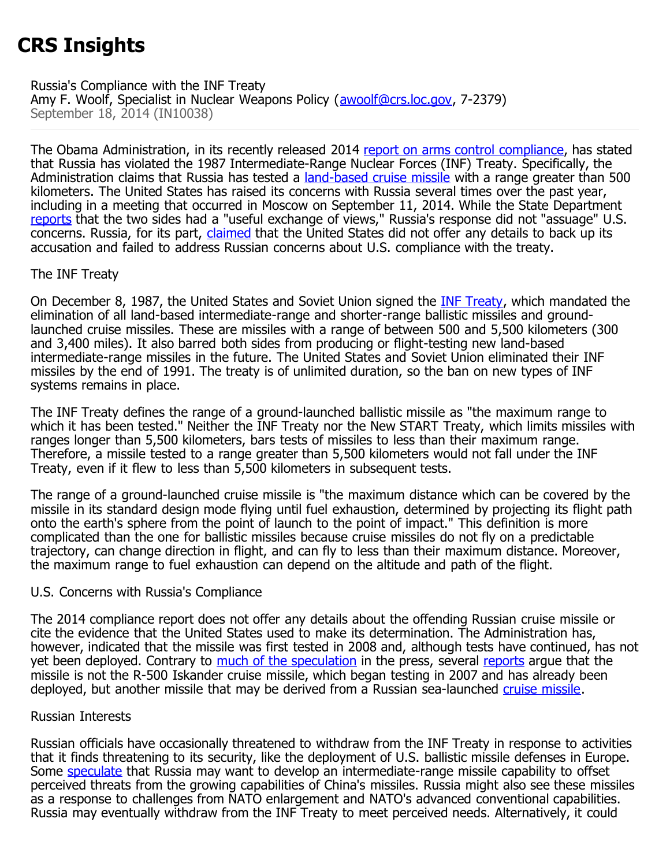# **CRS Insights**

Russia's Compliance with the INF Treaty Amy F. Woolf, Specialist in Nuclear Weapons Policy ([awoolf@crs.loc.gov,](mailto:awoolf@crs.loc.gov) 7-2379) September 18, 2014 (IN10038)

The Obama Administration, in its recently released 2014 [report on arms control compliance,](http://www.state.gov/t/avc/rls/rpt/2014/index.htm) has stated that Russia has violated the 1987 Intermediate-Range Nuclear Forces (INF) Treaty. Specifically, the Administration claims that Russia has tested a [land-based cruise missile](http://www.nytimes.com/2014/01/30/world/europe/us-says-russia-tested-missile-despite-treaty.html?module=Search&mabReward=relbias%3Ar%2C%7B%222%22%3A%22RI%3A17%22%7D&_r=0) with a range greater than 500 kilometers. The United States has raised its concerns with Russia several times over the past year, including in a meeting that occurred in Moscow on September 11, 2014. While the State Department [reports](http://www.state.gov/r/pa/prs/ps/2014/09/231490.htm) that the two sides had a "useful exchange of views," Russia's response did not "assuage" U.S. concerns. Russia, for its part, [claimed](http://www.reuters.com/article/2014/09/11/russia-usa-arms-talks-idUSL5N0RC3XH20140911) that the United States did not offer any details to back up its accusation and failed to address Russian concerns about U.S. compliance with the treaty.

## The INF Treaty

On December 8, 1987, the United States and Soviet Union signed the **[INF Treaty](http://www.state.gov/t/avc/trty/102360.htm)**, which mandated the elimination of all land-based intermediate-range and shorter-range ballistic missiles and groundlaunched cruise missiles. These are missiles with a range of between 500 and 5,500 kilometers (300 and 3,400 miles). It also barred both sides from producing or flight-testing new land-based intermediate-range missiles in the future. The United States and Soviet Union eliminated their INF missiles by the end of 1991. The treaty is of unlimited duration, so the ban on new types of INF systems remains in place.

The INF Treaty defines the range of a ground-launched ballistic missile as "the maximum range to which it has been tested." Neither the INF Treaty nor the New START Treaty, which limits missiles with ranges longer than 5,500 kilometers, bars tests of missiles to less than their maximum range. Therefore, a missile tested to a range greater than 5,500 kilometers would not fall under the INF Treaty, even if it flew to less than 5,500 kilometers in subsequent tests.

The range of a ground-launched cruise missile is "the maximum distance which can be covered by the missile in its standard design mode flying until fuel exhaustion, determined by projecting its flight path onto the earth's sphere from the point of launch to the point of impact." This definition is more complicated than the one for ballistic missiles because cruise missiles do not fly on a predictable trajectory, can change direction in flight, and can fly to less than their maximum distance. Moreover, the maximum range to fuel exhaustion can depend on the altitude and path of the flight.

## U.S. Concerns with Russia's Compliance

The 2014 compliance report does not offer any details about the offending Russian cruise missile or cite the evidence that the United States used to make its determination. The Administration has, however, indicated that the missile was first tested in 2008 and, although tests have continued, has not yet been deployed. Contrary to [much of the speculation](http://www.realcleardefense.com/articles/2014/09/15/russias_treaty_violations__nuclear_instability_107442.html) in the press, several [reports](http://www.armscontrol.org/act/2014_09/News/Russia-Breaches-INF-Treaty-US-Says) arque that the missile is not the R-500 Iskander cruise missile, which began testing in 2007 and has already been deployed, but another missile that may be derived from a Russian sea-launched [cruise missile](http://russianforces.org/blog/2014/08/more_details_on_russia_and_the.shtml).

## Russian Interests

Russian officials have occasionally threatened to withdraw from the INF Treaty in response to activities that it finds threatening to its security, like the deployment of U.S. ballistic missile defenses in Europe. Some [speculate](http://www.foreignpolicy.com/articles/2014/04/25/nuclear_semantics_russia_inf_treaty_missiles_icbm) that Russia may want to develop an intermediate-range missile capability to offset perceived threats from the growing capabilities of China's missiles. Russia might also see these missiles as a response to challenges from NATO enlargement and NATO's advanced conventional capabilities. Russia may eventually withdraw from the INF Treaty to meet perceived needs. Alternatively, it could